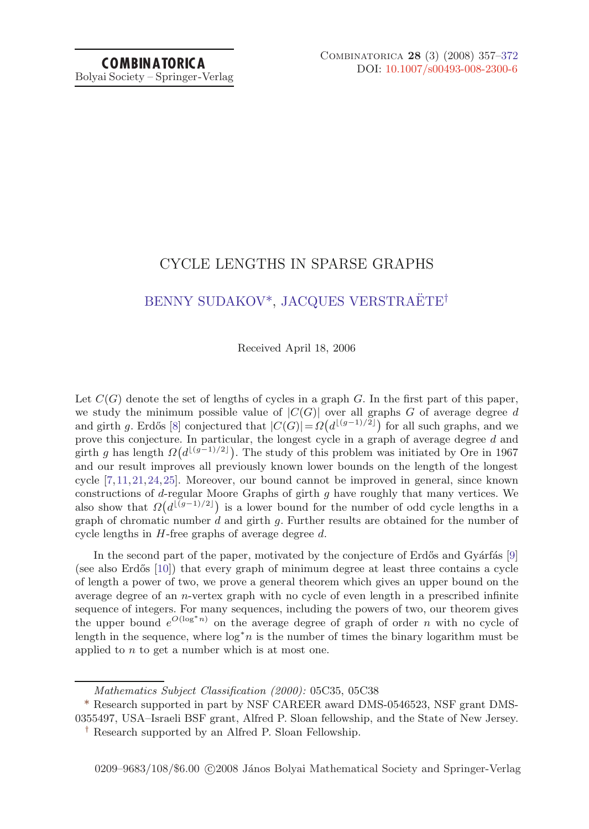# CYCLE LENGTHS IN SPARSE GRAPHS

# [BENNY SUDAKOV\\*](#page-15-0), JACQUES VERSTRAËTE<sup>†</sup>

#### Received April 18, 2006

Let  $C(G)$  denote the set of lengths of cycles in a graph G. In the first part of this paper, we study the minimum possible value of  $|C(G)|$  over all graphs G of average degree d and girth g. Erdős [\[8](#page-14-0)] conjectured that  $|C(G)| = \Omega(d^{\lfloor (g-1)/2 \rfloor})$  for all such graphs, and we prove this conjecture. In particular, the longest cycle in a graph of average degree d and girth g has length  $\Omega(d^{\lfloor (g-1)/2 \rfloor})$ . The study of this problem was initiated by Ore in 1967 and our result improves all previously known lower bounds on the length of the longest cycle [\[7,11,21](#page-14-0),[24,25](#page-14-0)]. Moreover, our bound cannot be improved in general, since known constructions of d-regular Moore Graphs of girth g have roughly that many vertices. We also show that  $\Omega(d^{\lfloor(g-1)/2\rfloor})$  is a lower bound for the number of odd cycle lengths in a graph of chromatic number  $d$  and girth  $g$ . Further results are obtained for the number of cycle lengths in  $H$ -free graphs of average degree  $d$ .

In the second part of the paper, motivated by the conjecture of Erdős and Gyárfás  $[9]$ (see also Erdős  $[10]$  $[10]$ ) that every graph of minimum degree at least three contains a cycle of length a power of two, we prove a general theorem which gives an upper bound on the average degree of an n-vertex graph with no cycle of even length in a prescribed infinite sequence of integers. For many sequences, including the powers of two, our theorem gives the upper bound  $e^{O(\log^* n)}$  on the average degree of graph of order n with no cycle of length in the sequence, where  $\log^* n$  is the number of times the binary logarithm must be applied to  $n$  to get a number which is at most one.

Mathematics Subject Classification (2000): 05C35, 05C38

<sup>\*</sup> Research supported in part by NSF CAREER award DMS-0546523, NSF grant DMS-0355497, USA–Israeli BSF grant, Alfred P. Sloan fellowship, and the State of New Jersey.

<sup>†</sup> Research supported by an Alfred P. Sloan Fellowship.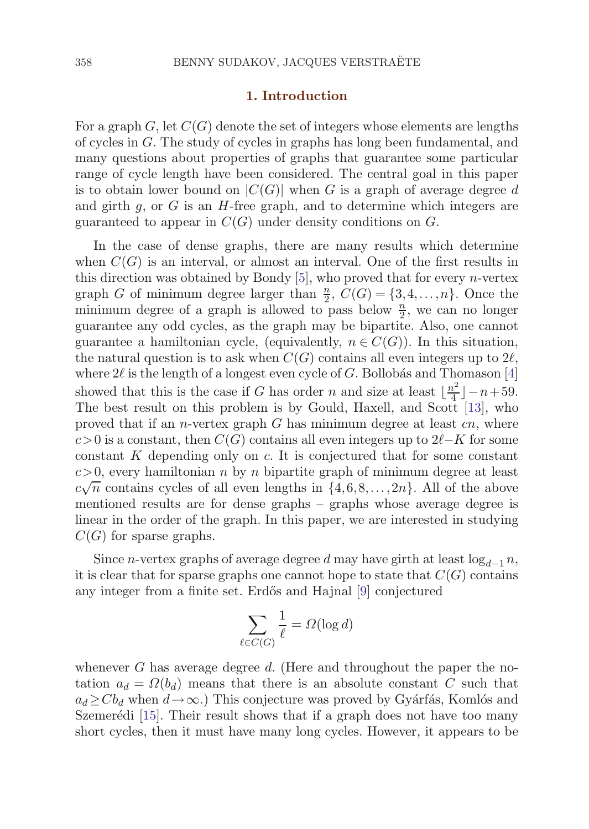#### **1. Introduction**

For a graph G, let  $C(G)$  denote the set of integers whose elements are lengths of cycles in G. The study of cycles in graphs has long been fundamental, and many questions about properties of graphs that guarantee some particular range of cycle length have been considered. The central goal in this paper is to obtain lower bound on  $|C(G)|$  when G is a graph of average degree d and girth  $g$ , or  $G$  is an  $H$ -free graph, and to determine which integers are guaranteed to appear in  $C(G)$  under density conditions on G.

In the case of dense graphs, there are many results which determine when  $C(G)$  is an interval, or almost an interval. One of the first results in this direction was obtained by Bondy  $[5]$ , who proved that for every *n*-vertex graph G of minimum degree larger than  $\frac{n}{2}$ ,  $C(G) = \{3, 4, ..., n\}$ . Once the minimum degree of a graph is allowed to pass below  $\frac{n}{2}$ , we can no longer guarantee any odd cycles, as the graph may be bipartite. Also, one cannot guarantee a hamiltonian cycle, (equivalently,  $n \in C(G)$ ). In this situation, the natural question is to ask when  $C(G)$  contains all even integers up to  $2\ell$ , where  $2\ell$  is the length of a longest even cycle of G. Bollobás and Thomason [[4](#page-14-0)] showed that this is the case if G has order n and size at least  $\lfloor \frac{n^2}{4} \rfloor - n + 59$ . The best result on this problem is by Gould, Haxell, and Scott [\[13](#page-14-0)], who proved that if an *n*-vertex graph G has minimum degree at least  $cn$ , where  $c>0$  is a constant, then  $C(G)$  contains all even integers up to  $2\ell-K$  for some constant  $K$  depending only on  $c$ . It is conjectured that for some constant  $c>0$ , every hamiltonian n by n bipartite graph of minimum degree at least  $c\sqrt{n}$  contains cycles of all even lengths in  $\{4,6,8,\ldots,2n\}$ . All of the above mentioned results are for dense graphs – graphs whose average degree is linear in the order of the graph. In this paper, we are interested in studying  $C(G)$  for sparse graphs.

Since *n*-vertex graphs of average degree d may have girth at least  $\log_{d-1} n$ , it is clear that for sparse graphs one cannot hope to state that  $C(G)$  contains any integer from a finite set. Erdős and Hajnal [\[9\]](#page-14-0) conjectured

$$
\sum_{\ell \in C(G)} \frac{1}{\ell} = \Omega(\log d)
$$

whenever G has average degree d. (Here and throughout the paper the notation  $a_d = \Omega(b_d)$  means that there is an absolute constant C such that  $a_d \geq C b_d$  when  $d \to \infty$ .) This conjecture was proved by Gyárfás, Komlós and Szemerédi  $[15]$  $[15]$  $[15]$ . Their result shows that if a graph does not have too many short cycles, then it must have many long cycles. However, it appears to be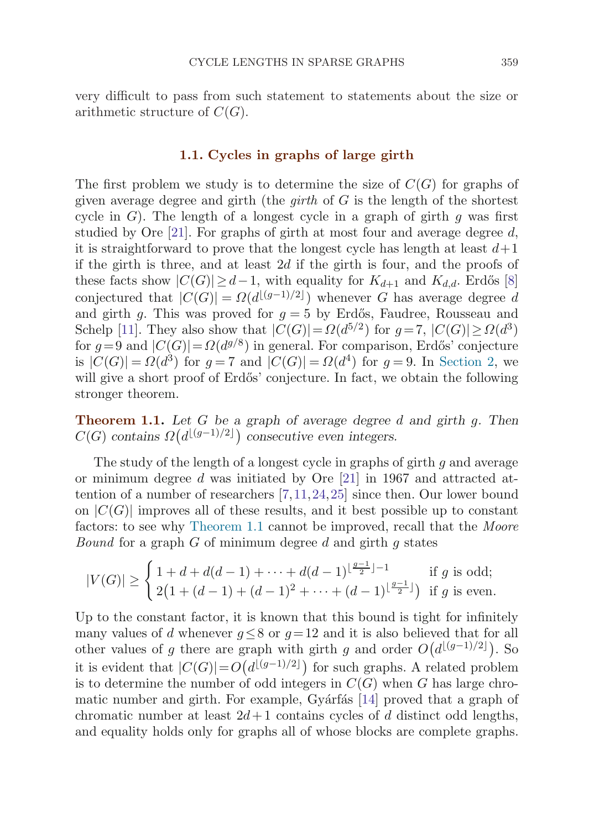<span id="page-2-0"></span>very difficult to pass from such statement to statements about the size or arithmetic structure of  $C(G)$ .

## **1.1. Cycles in graphs of large girth**

The first problem we study is to determine the size of  $C(G)$  for graphs of given average degree and girth (the *girth* of  $G$  is the length of the shortest cycle in  $G$ ). The length of a longest cycle in a graph of girth g was first studied by Ore  $[21]$  $[21]$ . For graphs of girth at most four and average degree d, it is straightforward to prove that the longest cycle has length at least  $d+1$ if the girth is three, and at least  $2d$  if the girth is four, and the proofs of these facts show  $|C(G)| \geq d-1$ , with equality for  $K_{d+1}$  and  $K_{d,d}$ . Erdős [[8](#page-14-0)] conjectured that  $|C(G)| = \Omega(d^{\lfloor (g-1)/2 \rfloor})$  whenever G has average degree d and girth g. This was proved for  $g = 5$  by Erdős, Faudree, Rousseau and Schelp [\[11\]](#page-14-0). They also show that  $|C(G)| = \Omega(d^{5/2})$  for  $q = 7$ ,  $|C(G)| > \Omega(d^3)$ for  $g=9$  and  $|C(G)|=Q(d^{g/8})$  in general. For comparison, Erdős' conjecture is  $|C(G)| = \Omega(d^3)$  for  $q = 7$  and  $|C(G)| = \Omega(d^4)$  for  $q = 9$ . In [Section 2,](#page-5-0) we will give a short proof of Erdős' conjecture. In fact, we obtain the following stronger theorem.

**Theorem 1.1.** *Let* G *be a graph of average degree* d *and girth* g*. Then*  $C(G)$  contains  $\Omega(d^{\lfloor (g-1)/2 \rfloor})$  consecutive even integers.

The study of the length of a longest cycle in graphs of girth g and average or minimum degree d was initiated by Ore [\[21](#page-14-0)] in 1967 and attracted attention of a number of researchers [\[7,11,24](#page-14-0),[25](#page-14-0)] since then. Our lower bound on  $|C(G)|$  improves all of these results, and it best possible up to constant factors: to see why Theorem 1.1 cannot be improved, recall that the Moore *Bound* for a graph  $G$  of minimum degree  $d$  and girth  $q$  states

$$
|V(G)| \ge \begin{cases} 1 + d + d(d-1) + \dots + d(d-1)^{\lfloor \frac{g-1}{2} \rfloor - 1} & \text{if } g \text{ is odd;} \\ 2\left(1 + (d-1) + (d-1)^2 + \dots + (d-1)^{\lfloor \frac{g-1}{2} \rfloor}\right) & \text{if } g \text{ is even.} \end{cases}
$$

Up to the constant factor, it is known that this bound is tight for infinitely many values of d whenever  $q \leq 8$  or  $q=12$  and it is also believed that for all other values of g there are graph with girth g and order  $O(d^{\lfloor (g-1)/2 \rfloor})$ . So it is evident that  $|C(G)| = O(d^{\lfloor (g-1)/2 \rfloor})$  for such graphs. A related problem is to determine the number of odd integers in  $C(G)$  when G has large chro-matic number and girth. For example, Gyárfás [[14](#page-14-0)] proved that a graph of chromatic number at least  $2d+1$  contains cycles of d distinct odd lengths, and equality holds only for graphs all of whose blocks are complete graphs.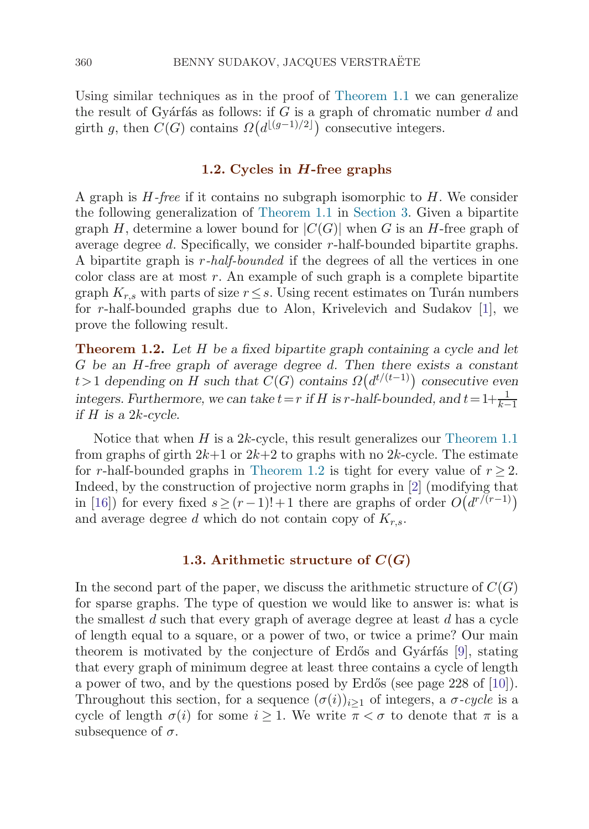<span id="page-3-0"></span>Using similar techniques as in the proof of [Theorem 1.1](#page-2-0) we can generalize the result of Gyárfás as follows: if G is a graph of chromatic number  $d$  and girth g, then  $C(G)$  contains  $\Omega(d^{\lfloor (g-1)/2 \rfloor})$  consecutive integers.

# **1.2. Cycles in** *H***-free graphs**

A graph is  $H$ -free if it contains no subgraph isomorphic to  $H$ . We consider the following generalization of [Theorem 1.1](#page-2-0) in [Section 3.](#page-9-0) Given a bipartite graph H, determine a lower bound for  $|C(G)|$  when G is an H-free graph of average degree d. Specifically, we consider r-half-bounded bipartite graphs. A bipartite graph is r-half-bounded if the degrees of all the vertices in one color class are at most  $r$ . An example of such graph is a complete bipartite graph  $K_{r,s}$  with parts of size  $r \leq s$ . Using recent estimates on Turán numbers for r-half-bounded graphs due to Alon, Krivelevich and Sudakov [\[1\]](#page-13-0), we prove the following result.

**Theorem 1.2.** *Let* H *be a fixed bipartite graph containing a cycle and let* G *be an* H*-free graph of average degree* d*. Then there exists a constant*  $t > 1$  depending on H such that  $C(G)$  contains  $\Omega(d^{t/(t-1)})$  consecutive even *integers.* Furthermore, we can take  $t=r$  *if* H *is* r-half-bounded, and  $t=1+\frac{1}{k-1}$ *if* H *is a* 2k*-cycle.*

Notice that when  $H$  is a 2k-cycle, this result generalizes our [Theorem 1.1](#page-2-0) from graphs of girth  $2k+1$  or  $2k+2$  to graphs with no  $2k$ -cycle. The estimate for r-half-bounded graphs in Theorem 1.2 is tight for every value of  $r \geq 2$ . Indeed, by the construction of projective norm graphs in [[2](#page-13-0)] (modifying that in [[16](#page-14-0)]) for every fixed  $s \ge (r-1)!+1$  there are graphs of order  $O(d^{r/(r-1)})$ and average degree d which do not contain copy of  $K_{r,s}$ .

# **1.3. Arithmetic structure of**  $C(G)$

In the second part of the paper, we discuss the arithmetic structure of  $C(G)$ for sparse graphs. The type of question we would like to answer is: what is the smallest  $d$  such that every graph of average degree at least  $d$  has a cycle of length equal to a square, or a power of two, or twice a prime? Our main theorem is motivated by the conjecture of Erdős and Gyárfás [\[9\]](#page-14-0), stating that every graph of minimum degree at least three contains a cycle of length a power of two, and by the questions posed by Erdős (see page 228 of [\[10\]](#page-14-0)). Throughout this section, for a sequence  $(\sigma(i))_{i\geq 1}$  of integers, a  $\sigma$ -cycle is a cycle of length  $\sigma(i)$  for some  $i \geq 1$ . We write  $\pi < \sigma$  to denote that  $\pi$  is a subsequence of  $\sigma$ .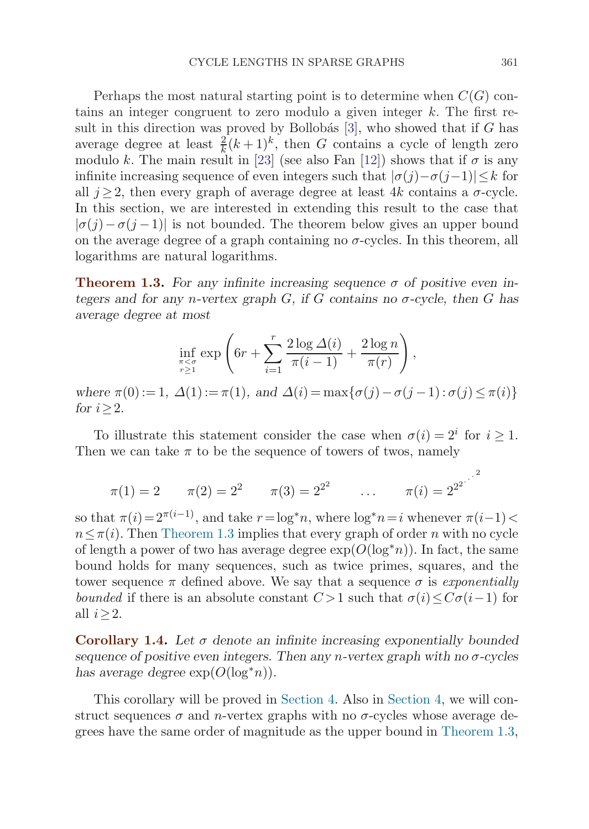<span id="page-4-0"></span>Perhaps the most natural starting point is to determine when  $C(G)$  contains an integer congruent to zero modulo a given integer  $k$ . The first result in this direction was proved by Bollobás  $[3]$ , who showed that if G has average degree at least  $\frac{2}{k}(k+1)^k$ , then G contains a cycle of length zero modulo k. The main result in [\[23](#page-14-0)] (see also Fan [\[12](#page-14-0)]) shows that if  $\sigma$  is any infinite increasing sequence of even integers such that  $|\sigma(j)-\sigma(j-1)|\leq k$  for all  $j \geq 2$ , then every graph of average degree at least 4k contains a  $\sigma$ -cycle. In this section, we are interested in extending this result to the case that  $|\sigma(j)-\sigma(j-1)|$  is not bounded. The theorem below gives an upper bound on the average degree of a graph containing no  $\sigma$ -cycles. In this theorem, all logarithms are natural logarithms.

**Theorem 1.3.** For any infinite increasing sequence  $\sigma$  of positive even in*tegers and for any n-vertex graph*  $G$ *, if*  $G$  *contains no*  $\sigma$ -cycle, then  $G$  has *average degree at most*

$$
\inf_{\substack{\pi < \sigma \\ r \ge 1}} \exp\left(6r + \sum_{i=1}^r \frac{2\log\Delta(i)}{\pi(i-1)} + \frac{2\log n}{\pi(r)}\right),
$$
\n
$$
\text{where } \pi(0) := 1, \ \Delta(1) := \pi(1), \text{ and } \Delta(i) = \max\{\sigma(j) - \sigma(j-1) : \sigma(j) \le \pi(i)\}
$$
\n
$$
\text{for } i \ge 2.
$$

To illustrate this statement consider the case when  $\sigma(i)=2^i$  for  $i \geq 1$ . Then we can take  $\pi$  to be the sequence of towers of twos, namely

 $\pi(1) = 2$   $\pi(2) = 2^2$   $\pi(3) = 2^{2^2}$   $\ldots$   $\pi(i) = 2^{2^{2}}$ 

so that  $\pi(i)=2^{\pi(i-1)}$ , and take  $r=\log^* n$ , where  $\log^* n=i$  whenever  $\pi(i-1)<$  $n \leq \pi(i)$ . Then Theorem 1.3 implies that every graph of order n with no cycle of length a power of two has average degree  $\exp(O(\log^* n))$ . In fact, the same bound holds for many sequences, such as twice primes, squares, and the tower sequence  $\pi$  defined above. We say that a sequence  $\sigma$  is exponentially bounded if there is an absolute constant  $C > 1$  such that  $\sigma(i) \leq C\sigma(i-1)$  for all  $i \geq 2$ .

**Corollary 1.4.** *Let* σ *denote an infinite increasing exponentially bounded sequence of positive even integers. Then any* n*-vertex graph with no* σ*-cycles has average degree*  $exp(O(log^*n))$ *.* 

This corollary will be proved in [Section 4.](#page-10-0) Also in [Section 4,](#page-10-0) we will construct sequences  $\sigma$  and *n*-vertex graphs with no  $\sigma$ -cycles whose average degrees have the same order of magnitude as the upper bound in Theorem 1.3,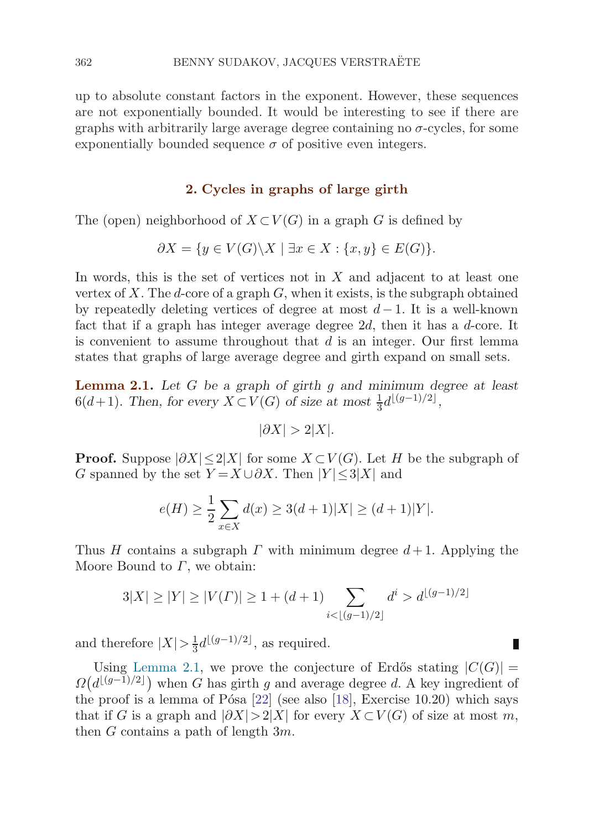<span id="page-5-0"></span>up to absolute constant factors in the exponent. However, these sequences are not exponentially bounded. It would be interesting to see if there are graphs with arbitrarily large average degree containing no  $\sigma$ -cycles, for some exponentially bounded sequence  $\sigma$  of positive even integers.

## **2. Cycles in graphs of large girth**

The (open) neighborhood of  $X\subset V(G)$  in a graph G is defined by

$$
\partial X = \{ y \in V(G) \backslash X \mid \exists x \in X : \{x, y\} \in E(G) \}.
$$

In words, this is the set of vertices not in  $X$  and adjacent to at least one vertex of X. The d-core of a graph  $G$ , when it exists, is the subgraph obtained by repeatedly deleting vertices of degree at most  $d-1$ . It is a well-known fact that if a graph has integer average degree  $2d$ , then it has a d-core. It is convenient to assume throughout that  $d$  is an integer. Our first lemma states that graphs of large average degree and girth expand on small sets.

**Lemma 2.1.** *Let* G *be a graph of girth* g *and minimum degree at least*  $6(d+1)$ *. Then, for every*  $X \subset V(G)$  *of size at most*  $\frac{1}{3}d^{\lfloor (g-1)/2 \rfloor}$ *,* 

$$
|\partial X| > 2|X|.
$$

**Proof.** Suppose  $|\partial X| \leq 2|X|$  for some  $X \subset V(G)$ . Let H be the subgraph of G spanned by the set  $Y = X \cup \partial X$ . Then  $|Y| \leq 3|X|$  and

$$
e(H) \ge \frac{1}{2} \sum_{x \in X} d(x) \ge 3(d+1)|X| \ge (d+1)|Y|.
$$

Thus H contains a subgraph  $\Gamma$  with minimum degree  $d+1$ . Applying the Moore Bound to  $\Gamma$ , we obtain:

$$
3|X| \ge |Y| \ge |V(\Gamma)| \ge 1 + (d+1) \sum_{i < \lfloor (g-1)/2 \rfloor} d^i > d^{\lfloor (g-1)/2 \rfloor}
$$

Ш

and therefore  $|X| > \frac{1}{3}d^{\lfloor (g-1)/2 \rfloor}$ , as required.

Using Lemma 2.1, we prove the conjecture of Erdős stating  $|C(G)| =$  $\Omega(d^{\lfloor (g-1)/2 \rfloor})$  when G has girth g and average degree d. A key ingredient of the proof is a lemma of Pósa  $[22]$  $[22]$  (see also  $[18]$  $[18]$ , Exercise 10.20) which says that if G is a graph and  $|\partial X|>2|X|$  for every  $X\subset V(G)$  of size at most m, then G contains a path of length  $3m$ .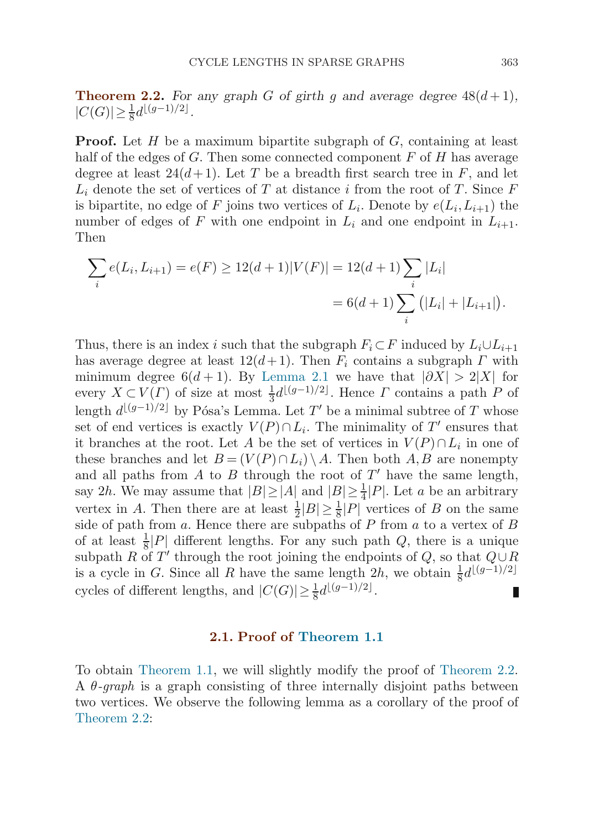<span id="page-6-0"></span>**Theorem 2.2.** For any graph G of girth q and average degree  $48(d+1)$ ,  $|C(G)| \geq \frac{1}{8} d^{\lfloor (g-1)/2 \rfloor}.$ 

**Proof.** Let H be a maximum bipartite subgraph of G, containing at least half of the edges of  $G$ . Then some connected component  $F$  of  $H$  has average degree at least  $24(d+1)$ . Let T be a breadth first search tree in F, and let  $L_i$  denote the set of vertices of T at distance i from the root of T. Since F is bipartite, no edge of F joins two vertices of  $L_i$ . Denote by  $e(L_i,L_{i+1})$  the number of edges of F with one endpoint in  $L_i$  and one endpoint in  $L_{i+1}$ . Then

$$
\sum_{i} e(L_i, L_{i+1}) = e(F) \ge 12(d+1)|V(F)| = 12(d+1)\sum_{i} |L_i|
$$
  
= 6(d+1)  $\sum_{i} (|L_i| + |L_{i+1}|).$ 

Thus, there is an index i such that the subgraph  $F_i \subset F$  induced by  $L_i \cup L_{i+1}$ has average degree at least  $12(d+1)$ . Then  $F_i$  contains a subgraph  $\Gamma$  with minimum degree 6(d + 1). By [Lemma 2.1](#page-5-0) we have that  $|\partial X| > 2|X|$  for every  $X \subset V(\Gamma)$  of size at most  $\frac{1}{3}d^{\lfloor (g-1)/2 \rfloor}$ . Hence  $\Gamma$  contains a path  $P$  of length  $d^{\lfloor (g-1)/2 \rfloor}$  by Pósa's Lemma. Let T' be a minimal subtree of T whose set of end vertices is exactly  $V(P) \cap L_i$ . The minimality of T' ensures that it branches at the root. Let A be the set of vertices in  $V(P) \cap L_i$  in one of these branches and let  $B = (V(P) \cap L_i) \setminus A$ . Then both A, B are nonempty and all paths from  $A$  to  $B$  through the root of  $T'$  have the same length, say 2h. We may assume that  $|B| \ge |A|$  and  $|B| \ge \frac{1}{4}|P|$ . Let a be an arbitrary vertex in A. Then there are at least  $\frac{1}{2}|B| \geq \frac{1}{8}|P|$  vertices of B on the same side of path from a. Hence there are subpaths of P from a to a vertex of B of at least  $\frac{1}{8}$ |P| different lengths. For any such path Q, there is a unique subpath R of T' through the root joining the endpoints of Q, so that  $Q \cup R$ is a cycle in G. Since all R have the same length 2h, we obtain  $\frac{1}{8}d^{\lfloor (g-1)/2 \rfloor}$ cycles of different lengths, and  $|C(G)| \geq \frac{1}{8} d^{\lfloor (g-1)/2 \rfloor}$ . П

#### **2.1. Proof of [Theorem 1.1](#page-2-0)**

To obtain [Theorem 1.1](#page-2-0), we will slightly modify the proof of Theorem 2.2. A  $\theta$ -graph is a graph consisting of three internally disjoint paths between two vertices. We observe the following lemma as a corollary of the proof of Theorem 2.2: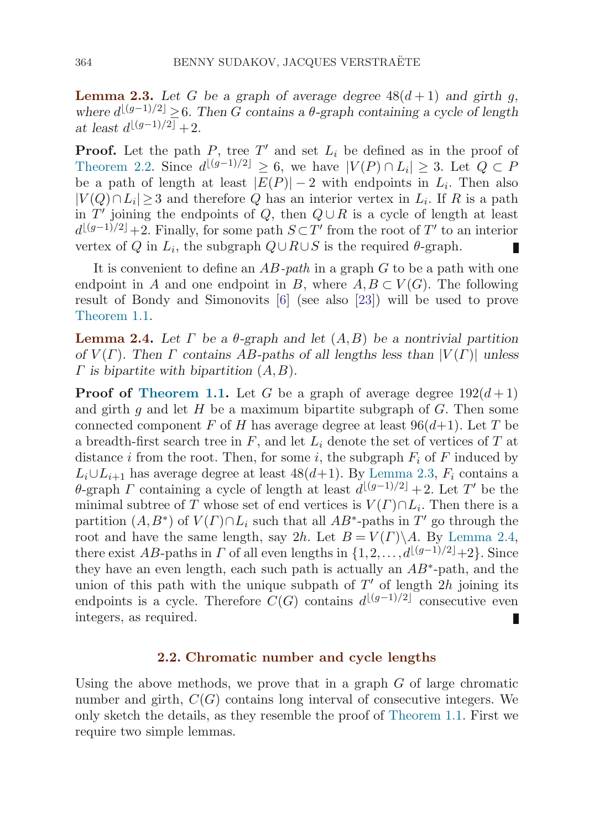<span id="page-7-0"></span>**Lemma 2.3.** Let G be a graph of average degree  $48(d+1)$  and girth g, *where*  $d^{\lfloor (g-1)/2 \rfloor} \geq 6$ *. Then* G contains a  $\theta$ -graph containing a cycle of length  $\int_{a}^{a} \text{ least } d^{[(g-1)/2]} + 2.$ 

**Proof.** Let the path P, tree T' and set  $L_i$  be defined as in the proof of [Theorem 2.2](#page-6-0). Since  $d^{\lfloor (g-1)/2 \rfloor} \geq 6$ , we have  $|V(P) \cap L_i| \geq 3$ . Let  $Q \subset P$ be a path of length at least  $|E(P)| - 2$  with endpoints in  $L_i$ . Then also  $|V(Q) \cap L_i| \geq 3$  and therefore Q has an interior vertex in  $L_i$ . If R is a path in  $T'$  joining the endpoints of Q, then  $Q \cup R$  is a cycle of length at least  $d^{\lfloor (g-1)/2 \rfloor}+2$ . Finally, for some path  $S \subset T'$  from the root of  $T'$  to an interior vertex of Q in  $L_i$ , the subgraph  $Q \cup R \cup S$  is the required  $\theta$ -graph. Ш

It is convenient to define an  $AB$ -path in a graph G to be a path with one endpoint in A and one endpoint in B, where  $A, B \subset V(G)$ . The following result of Bondy and Simonovits [\[6\]](#page-14-0) (see also [[23\]](#page-14-0)) will be used to prove [Theorem 1.1.](#page-2-0)

**Lemma 2.4.** Let Γ be a  $θ$ -graph and let  $(A, B)$  be a nontrivial partition *of*  $V(\Gamma)$ *. Then*  $\Gamma$  *contains*  $AB$ -paths of all lengths less than  $|V(\Gamma)|$  unless Γ *is bipartite with bipartition* (A,B)*.*

**Proof of [Theorem 1.1](#page-2-0).** Let G be a graph of average degree  $192(d+1)$ and girth  $g$  and let  $H$  be a maximum bipartite subgraph of  $G$ . Then some connected component F of H has average degree at least  $96(d+1)$ . Let T be a breadth-first search tree in  $F$ , and let  $L_i$  denote the set of vertices of  $T$  at distance i from the root. Then, for some i, the subgraph  $F_i$  of F induced by  $L_i \cup L_{i+1}$  has average degree at least 48(d+1). By Lemma 2.3,  $F_i$  contains a  $\theta$ -graph  $\Gamma$  containing a cycle of length at least  $d^{\lfloor (g-1)/2 \rfloor} + 2$ . Let  $T'$  be the minimal subtree of T whose set of end vertices is  $V(\Gamma) \cap L_i$ . Then there is a partition  $(A, B^*)$  of  $V(\Gamma) \cap L_i$  such that all  $AB^*$ -paths in T' go through the root and have the same length, say 2h. Let  $B = V(\Gamma) \backslash A$ . By Lemma 2.4, there exist AB-paths in  $\Gamma$  of all even lengths in  $\{1, 2, ..., d^{\lfloor (g-1)/2 \rfloor}+2\}$ . Since they have an even length, each such path is actually an  $AB^*$ -path, and the union of this path with the unique subpath of  $T'$  of length 2h joining its endpoints is a cycle. Therefore  $C(G)$  contains  $d^{\lfloor (g-1)/2 \rfloor}$  consecutive even integers, as required.

#### **2.2. Chromatic number and cycle lengths**

Using the above methods, we prove that in a graph  $G$  of large chromatic number and girth,  $C(G)$  contains long interval of consecutive integers. We only sketch the details, as they resemble the proof of [Theorem 1.1.](#page-2-0) First we require two simple lemmas.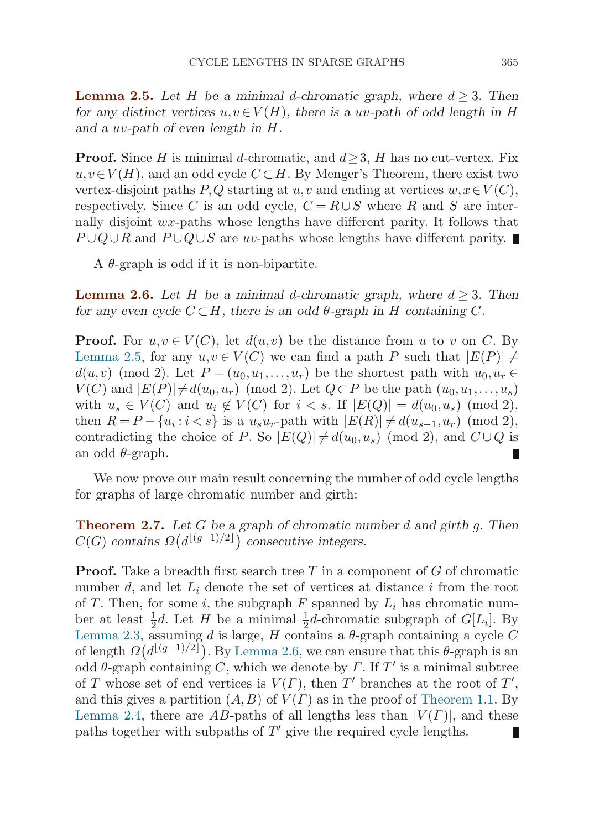<span id="page-8-0"></span>**Lemma 2.5.** Let H be a minimal d-chromatic graph, where  $d \geq 3$ . Then *for any distinct vertices*  $u, v \in V(H)$ *, there is a uv-path of odd length in* H *and a* uv*-path of even length in* H*.*

**Proof.** Since H is minimal d-chromatic, and  $d > 3$ , H has no cut-vertex. Fix  $u, v \in V(H)$ , and an odd cycle  $C \subset H$ . By Menger's Theorem, there exist two vertex-disjoint paths P,Q starting at u,v and ending at vertices  $w, x \in V(C)$ , respectively. Since C is an odd cycle,  $C = R \cup S$  where R and S are internally disjoint wx-paths whose lengths have different parity. It follows that  $P \cup Q \cup R$  and  $P \cup Q \cup S$  are uv-paths whose lengths have different parity. ■

A  $\theta$ -graph is odd if it is non-bipartite.

**Lemma 2.6.** Let H be a minimal d-chromatic graph, where  $d \geq 3$ . Then *for any even cycle*  $C \subset H$ *, there is an odd*  $\theta$ -graph in H containing C.

**Proof.** For  $u, v \in V(C)$ , let  $d(u, v)$  be the distance from u to v on C. By Lemma 2.5, for any  $u, v \in V(C)$  we can find a path P such that  $|E(P)| \neq$  $d(u,v)$  (mod 2). Let  $P=(u_0,u_1,\ldots,u_r)$  be the shortest path with  $u_0,u_r\in$  $V(C)$  and  $|E(P)| \neq d(u_0, u_r)$  (mod 2). Let  $Q \subset P$  be the path  $(u_0, u_1, \ldots, u_s)$ with  $u_s \in V(C)$  and  $u_i \notin V(C)$  for  $i < s$ . If  $|E(Q)| = d(u_0, u_s)$  (mod 2), then  $R = P - \{u_i : i < s\}$  is a  $u_s u_r$ -path with  $|E(R)| \neq d(u_{s-1}, u_r)$  (mod 2), contradicting the choice of P. So  $|E(Q)| \neq d(u_0, u_s)$  (mod 2), and  $C \cup Q$  is an odd  $\theta$ -graph.

We now prove our main result concerning the number of odd cycle lengths for graphs of large chromatic number and girth:

**Theorem 2.7.** *Let* G *be a graph of chromatic number* d *and girth* g*. Then*  $C(G)$  contains  $\Omega(d^{\lfloor (g-1)/2 \rfloor})$  consecutive integers.

**Proof.** Take a breadth first search tree T in a component of G of chromatic number  $d$ , and let  $L_i$  denote the set of vertices at distance i from the root of T. Then, for some i, the subgraph F spanned by  $L_i$  has chromatic number at least  $\frac{1}{2}d$ . Let H be a minimal  $\frac{1}{2}d$ -chromatic subgraph of  $G[L_i]$ . By [Lemma 2.3](#page-7-0), assuming d is large, H contains a  $\theta$ -graph containing a cycle C of length  $\Omega(d^{\lfloor (g-1)/2 \rfloor})$ . By Lemma 2.6, we can ensure that this  $\theta$ -graph is an odd  $\theta$ -graph containing C, which we denote by  $\Gamma$ . If  $T'$  is a minimal subtree of T whose set of end vertices is  $V(\Gamma)$ , then T' branches at the root of T', and this gives a partition  $(A, B)$  of  $V(\Gamma)$  as in the proof of [Theorem 1.1](#page-2-0). By [Lemma 2.4](#page-7-0), there are AB-paths of all lengths less than  $|V(\Gamma)|$ , and these paths together with subpaths of  $T'$  give the required cycle lengths.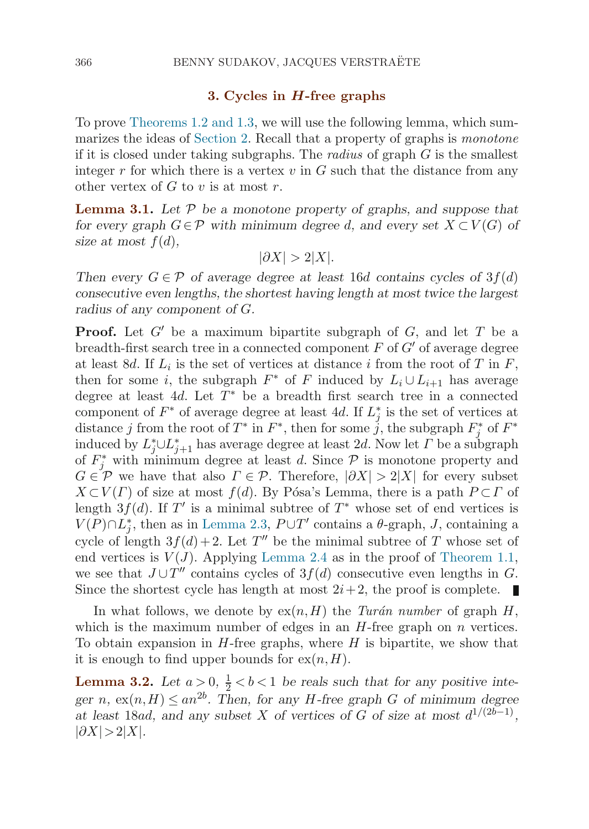#### **3. Cycles in** *H***-free graphs**

<span id="page-9-0"></span>To prove [Theorems 1.2](#page-3-0) [and 1.3](#page-4-0), we will use the following lemma, which sum-marizes the ideas of [Section 2](#page-5-0). Recall that a property of graphs is *monotone* if it is closed under taking subgraphs. The *radius* of graph  $G$  is the smallest integer r for which there is a vertex  $v$  in  $G$  such that the distance from any other vertex of  $G$  to  $v$  is at most  $r$ .

**Lemma 3.1.** *Let* P *be a monotone property of graphs, and suppose that for every graph*  $G \in \mathcal{P}$  *with minimum degree d, and every set*  $X \subset V(G)$  *of* size at most  $f(d)$ ,

$$
|\partial X| > 2|X|.
$$

*Then every*  $G \in \mathcal{P}$  *of average degree at least* 16*d contains cycles of* 3 $f(d)$ *consecutive even lengths, the shortest having length at most twice the largest radius of any component of* G*.*

**Proof.** Let  $G'$  be a maximum bipartite subgraph of  $G$ , and let  $T$  be a breadth-first search tree in a connected component  $F$  of  $G'$  of average degree at least 8d. If  $L_i$  is the set of vertices at distance i from the root of T in F, then for some i, the subgraph  $F^*$  of F induced by  $L_i \cup L_{i+1}$  has average degree at least 4d. Let  $T^*$  be a breadth first search tree in a connected component of  $F^*$  of average degree at least 4d. If  $L_j^*$  is the set of vertices at distance j from the root of  $T^*$  in  $F^*$ , then for some j, the subgraph  $F_j^*$  of  $F^*$ induced by  $L_j^* \cup L_{j+1}^*$  has average degree at least 2d. Now let  $\varGamma$  be a subgraph of  $F_j^*$  with minimum degree at least d. Since  $\mathcal P$  is monotone property and  $G \in \mathcal{P}$  we have that also  $\Gamma \in \mathcal{P}$ . Therefore,  $|\partial X| > 2|X|$  for every subset  $X\subset V(\Gamma)$  of size at most  $f(d)$ . By Pósa's Lemma, there is a path  $P\subset \Gamma$  of length 3 $f(d)$ . If T' is a minimal subtree of T<sup>\*</sup> whose set of end vertices is  $V(P) \cap L_j^*$ , then as in [Lemma 2.3](#page-7-0),  $P \cup T'$  contains a  $\theta$ -graph, J, containing a cycle of length  $3f(d)+2$ . Let T'' be the minimal subtree of T whose set of end vertices is  $V(J)$ . Applying [Lemma 2.4](#page-7-0) as in the proof of [Theorem 1.1](#page-2-0), we see that  $J \cup T''$  contains cycles of  $3f(d)$  consecutive even lengths in G. Since the shortest cycle has length at most  $2i+2$ , the proof is complete.

In what follows, we denote by  $ex(n,H)$  the Turán number of graph H, which is the maximum number of edges in an  $H$ -free graph on  $n$  vertices. To obtain expansion in  $H$ -free graphs, where  $H$  is bipartite, we show that it is enough to find upper bounds for  $ex(n,H)$ .

**Lemma 3.2.** Let  $a > 0$ ,  $\frac{1}{2} < b < 1$  be reals such that for any positive inte*ger n*,  $ex(n,H) \leq an^{2b}$ . Then, for any *H*-free graph *G* of minimum degree *at least* 18*ad*, and any subset X of vertices of G of size at most  $d^{1/(2b-1)}$ ,  $|\partial X|>2|X|$ *.*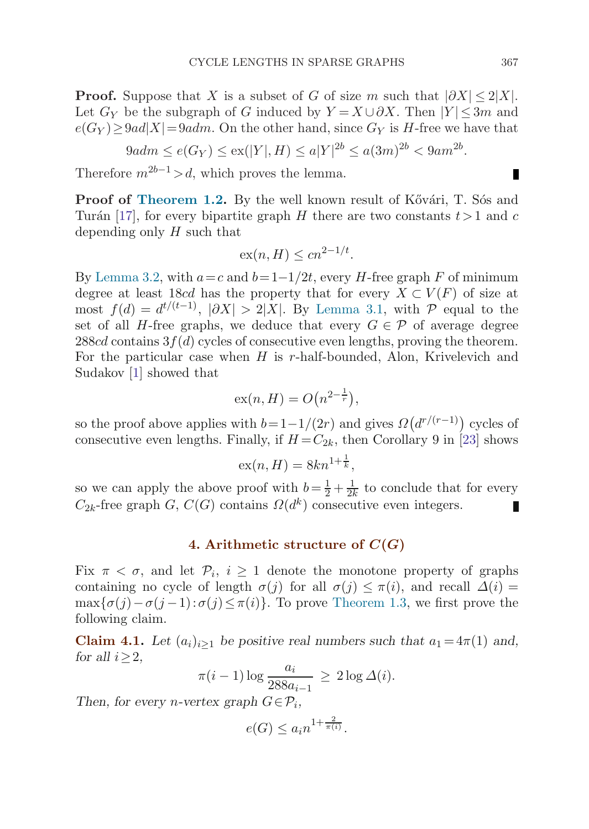<span id="page-10-0"></span>**Proof.** Suppose that X is a subset of G of size m such that  $|\partial X| \leq 2|X|$ . Let  $G_Y$  be the subgraph of G induced by  $Y = X \cup \partial X$ . Then  $|Y| \leq 3m$  and  $e(G_Y) \geq 9ad|X| = 9adm$ . On the other hand, since  $G_Y$  is H-free we have that

$$
9adm \le e(G_Y) \le ex(|Y|, H) \le a|Y|^{2b} \le a(3m)^{2b} < 9am^{2b}.
$$

Therefore  $m^{2b-1} > d$ , which proves the lemma.

**Proof of [Theorem 1.2](#page-3-0).** By the well known result of Kővári, T. Sós and Turán [\[17](#page-14-0)], for every bipartite graph H there are two constants  $t > 1$  and c depending only H such that

$$
\operatorname{ex}(n, H) \le c n^{2-1/t}.
$$

By [Lemma 3.2](#page-9-0), with  $a=c$  and  $b=1-1/2t$ , every H-free graph F of minimum degree at least 18cd has the property that for every  $X \subset V(F)$  of size at most  $f(d) = d^{t/(t-1)}$ ,  $|\partial X| > 2|X|$ . By [Lemma 3.1,](#page-9-0) with P equal to the set of all H-free graphs, we deduce that every  $G \in \mathcal{P}$  of average degree 288cd contains  $3f(d)$  cycles of consecutive even lengths, proving the theorem. For the particular case when  $H$  is r-half-bounded, Alon, Krivelevich and Sudakov [\[1\]](#page-13-0) showed that

$$
\mathrm{ex}(n, H) = O\big(n^{2 - \frac{1}{r}}\big),
$$

so the proof above applies with  $b=1-1/(2r)$  and gives  $\Omega(d^{r/(r-1)})$  cycles of consecutive even lengths. Finally, if  $H = C_{2k}$ , then Corollary 9 in [\[23\]](#page-14-0) shows

$$
\mathrm{ex}(n, H) = 8kn^{1 + \frac{1}{k}},
$$

so we can apply the above proof with  $b = \frac{1}{2} + \frac{1}{2k}$  to conclude that for every  $C_{2k}$ -free graph G,  $C(G)$  contains  $\Omega(d^k)$  consecutive even integers.

### **4. Arithmetic structure of**  $C(G)$

Fix  $\pi < \sigma$ , and let  $\mathcal{P}_i$ ,  $i \geq 1$  denote the monotone property of graphs containing no cycle of length  $\sigma(j)$  for all  $\sigma(j) \leq \pi(i)$ , and recall  $\Delta(i)$  =  $\max{\{\sigma(j)-\sigma(j-1):\sigma(j)\leq \pi(i)\}}$ . To prove [Theorem 1.3,](#page-4-0) we first prove the following claim.

**Claim 4.1.** *Let*  $(a_i)_{i>1}$  *be positive real numbers such that*  $a_1 = 4\pi(1)$  *and, for all*  $i \geq 2$ *,* 

$$
\pi(i-1)\log\frac{a_i}{288a_{i-1}} \ge 2\log\Delta(i).
$$

*Then, for every n-vertex graph*  $G \in \mathcal{P}_i$ ,

$$
e(G) \le a_i n^{1 + \frac{2}{\pi(i)}}.
$$

п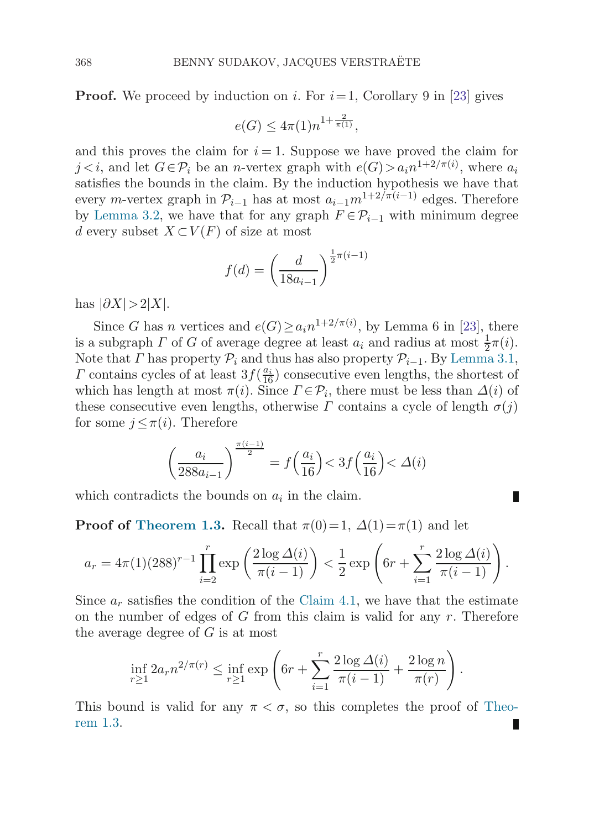**Proof.** We proceed by induction on i. For  $i=1$ , Corollary 9 in [[23](#page-14-0)] gives

$$
e(G) \le 4\pi(1)n^{1+\frac{2}{\pi(1)}},
$$

and this proves the claim for  $i = 1$ . Suppose we have proved the claim for  $j \lt i$ , and let  $G \in \mathcal{P}_i$  be an *n*-vertex graph with  $e(G) > a_i n^{1+2/\pi(i)}$ , where  $a_i$ satisfies the bounds in the claim. By the induction hypothesis we have that every m-vertex graph in  $\mathcal{P}_{i-1}$  has at most  $a_{i-1}m^{1+2/\pi(i-1)}$  edges. Therefore by [Lemma 3.2](#page-9-0), we have that for any graph  $F \in \mathcal{P}_{i-1}$  with minimum degree d every subset  $X\subset V(F)$  of size at most

$$
f(d) = \left(\frac{d}{18a_{i-1}}\right)^{\frac{1}{2}\pi(i-1)}
$$

has  $|\partial X|>2|X|$ .

Since G has n vertices and  $e(G) \ge a_i n^{1+2/\pi(i)}$ , by Lemma 6 in [[23](#page-14-0)], there is a subgraph  $\Gamma$  of G of average degree at least  $a_i$  and radius at most  $\frac{1}{2}\pi(i)$ . Note that  $\Gamma$  has property  $\mathcal{P}_i$  and thus has also property  $\mathcal{P}_{i-1}$ . By [Lemma 3.1](#page-9-0),  $\Gamma$  contains cycles of at least  $3f(\frac{a_i}{16})$  consecutive even lengths, the shortest of which has length at most  $\pi(i)$ . Since  $\Gamma \in \mathcal{P}_i$ , there must be less than  $\Delta(i)$  of these consecutive even lengths, otherwise  $\Gamma$  contains a cycle of length  $\sigma(i)$ for some  $j \leq \pi(i)$ . Therefore

$$
\left(\frac{a_i}{288a_{i-1}}\right)^{\frac{\pi(i-1)}{2}} = f\left(\frac{a_i}{16}\right) < 3f\left(\frac{a_i}{16}\right) < \Delta(i)
$$

which contradicts the bounds on  $a_i$  in the claim.

**Proof of [Theorem 1.3.](#page-4-0)** Recall that  $\pi(0)=1$ ,  $\Delta(1)=\pi(1)$  and let

$$
a_r = 4\pi (1)(288)^{r-1} \prod_{i=2}^r \exp\left(\frac{2\log \Delta(i)}{\pi(i-1)}\right) < \frac{1}{2} \exp\left(6r + \sum_{i=1}^r \frac{2\log \Delta(i)}{\pi(i-1)}\right).
$$

Since  $a_r$  satisfies the condition of the [Claim 4.1](#page-10-0), we have that the estimate on the number of edges of  $G$  from this claim is valid for any  $r$ . Therefore the average degree of  $G$  is at most

$$
\inf_{r\geq 1} 2a_r n^{2/\pi(r)} \leq \inf_{r\geq 1} \exp\left(6r + \sum_{i=1}^r \frac{2\log \Delta(i)}{\pi(i-1)} + \frac{2\log n}{\pi(r)}\right).
$$

This bound is valid for any  $\pi < \sigma$ , so this completes the proof of [Theo](#page-4-0)re[m 1.3](#page-4-0).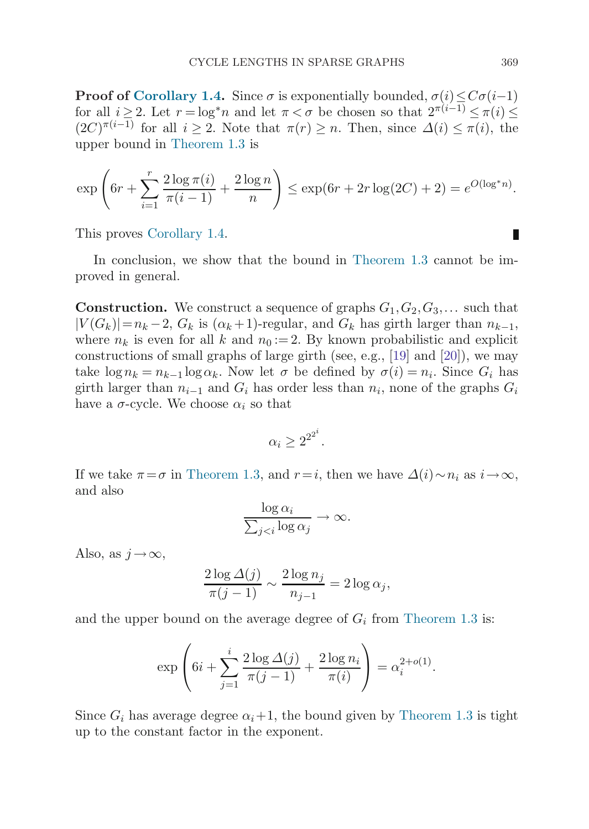**Proof of [Corollary 1.4.](#page-4-0)** Since  $\sigma$  is exponentially bounded,  $\sigma(i) \leq C\sigma(i-1)$ for all  $i \geq 2$ . Let  $r = \log^* n$  and let  $\pi < \sigma$  be chosen so that  $2^{\pi(i-1)} \leq \pi(i) \leq$  $(2C)^{\pi(i-1)}$  for all  $i \geq 2$ . Note that  $\pi(r) \geq n$ . Then, since  $\Delta(i) \leq \pi(i)$ , the upper bound in [Theorem 1.3](#page-4-0) is

$$
\exp\left(6r + \sum_{i=1}^r \frac{2\log \pi(i)}{\pi(i-1)} + \frac{2\log n}{n}\right) \le \exp(6r + 2r\log(2C) + 2) = e^{O(\log^* n)}.
$$

This proves [Corollary 1.4](#page-4-0).

In conclusion, we show that the bound in [Theorem 1.3](#page-4-0) cannot be improved in general.

**Construction.** We construct a sequence of graphs  $G_1, G_2, G_3, \ldots$  such that  $|V(G_k)|=n_k-2$ ,  $G_k$  is  $(\alpha_k+1)$ -regular, and  $G_k$  has girth larger than  $n_{k-1}$ , where  $n_k$  is even for all k and  $n_0 := 2$ . By known probabilistic and explicit constructions of small graphs of large girth (see, e.g., [[19\]](#page-14-0) and [[20\]](#page-14-0)), we may take  $\log n_k = n_{k-1} \log \alpha_k$ . Now let  $\sigma$  be defined by  $\sigma(i) = n_i$ . Since  $G_i$  has girth larger than  $n_{i-1}$  and  $G_i$  has order less than  $n_i$ , none of the graphs  $G_i$ have a  $\sigma$ -cycle. We choose  $\alpha_i$  so that

$$
\alpha_i \geq 2^{2^{2^i}}.
$$

If we take  $\pi = \sigma$  in [Theorem 1.3](#page-4-0), and  $r = i$ , then we have  $\Delta(i) \sim n_i$  as  $i \to \infty$ , and also

$$
\frac{\log \alpha_i}{\sum_{j
$$

Also, as  $j \rightarrow \infty$ ,

$$
\frac{2\log\Delta(j)}{\pi(j-1)} \sim \frac{2\log n_j}{n_{j-1}} = 2\log\alpha_j,
$$

and the upper bound on the average degree of  $G_i$  from [Theorem 1.3](#page-4-0) is:

$$
\exp\left(6i + \sum_{j=1}^{i} \frac{2\log \Delta(j)}{\pi(j-1)} + \frac{2\log n_i}{\pi(i)}\right) = \alpha_i^{2+o(1)}.
$$

Since  $G_i$  has average degree  $\alpha_i+1$ , the bound given by [Theorem 1.3](#page-4-0) is tight up to the constant factor in the exponent.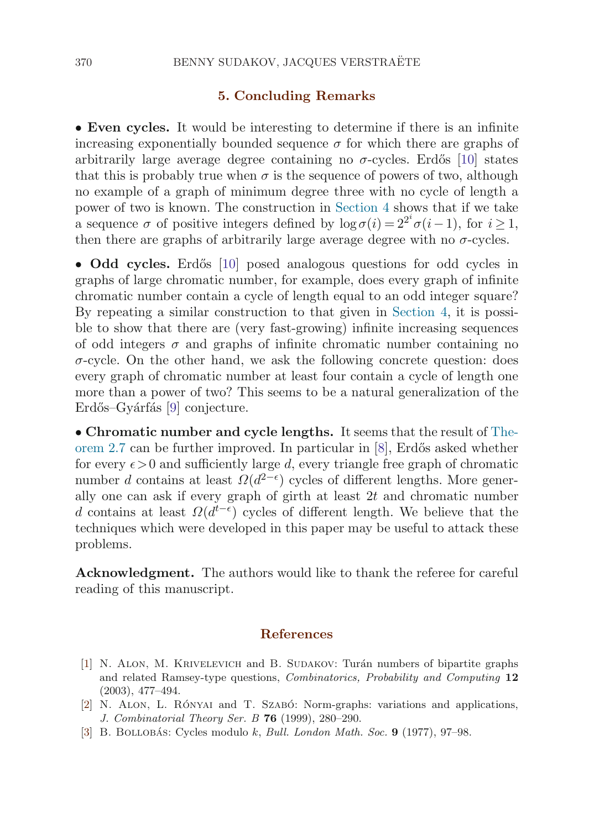## **5. Concluding Remarks**

<span id="page-13-0"></span>• **Even cycles.** It would be interesting to determine if there is an infinite increasing exponentially bounded sequence  $\sigma$  for which there are graphs of arbitrarily large average degree containing no  $\sigma$ -cycles. Erdős [[10\]](#page-14-0) states that this is probably true when  $\sigma$  is the sequence of powers of two, although no example of a graph of minimum degree three with no cycle of length a power of two is known. The construction in [Section 4](#page-10-0) shows that if we take a sequence  $\sigma$  of positive integers defined by  $\log \sigma(i) = 2^{2^i} \sigma(i-1)$ , for  $i \ge 1$ , then there are graphs of arbitrarily large average degree with no  $\sigma$ -cycles.

• Odd cycles. Erdős [[10\]](#page-14-0) posed analogous questions for odd cycles in graphs of large chromatic number, for example, does every graph of infinite chromatic number contain a cycle of length equal to an odd integer square? By repeating a similar construction to that given in [Section 4,](#page-10-0) it is possible to show that there are (very fast-growing) infinite increasing sequences of odd integers  $\sigma$  and graphs of infinite chromatic number containing no  $\sigma$ -cycle. On the other hand, we ask the following concrete question: does every graph of chromatic number at least four contain a cycle of length one more than a power of two? This seems to be a natural generalization of the Erdős–Gyárfás [\[9\]](#page-14-0) conjecture.

• **Chromatic number and cycle lengths.** It seems that the result of [The](#page-8-0)or[em 2.7](#page-8-0) can be further improved. In particular in  $[8]$  $[8]$  $[8]$ , Erdős asked whether for every  $\epsilon > 0$  and sufficiently large d, every triangle free graph of chromatic number d contains at least  $\Omega(d^{2-\epsilon})$  cycles of different lengths. More generally one can ask if every graph of girth at least  $2t$  and chromatic number d contains at least  $\Omega(d^{t-\epsilon})$  cycles of different length. We believe that the techniques which were developed in this paper may be useful to attack these problems.

**Acknowledgment.** The authors would like to thank the referee for careful reading of this manuscript.

## **References**

- [1] N. ALON, M. KRIVELEVICH and B. SUDAKOV: Turán numbers of bipartite graphs and related Ramsey-type questions, Combinatorics, Probability and Computing **12** (2003), 477–494.
- [2] N. ALON, L. RÓNYAI and T. SZABÓ: Norm-graphs: variations and applications, J. Combinatorial Theory Ser. B **76** (1999), 280–290.
- [3] B. BOLLOBÁS: Cycles modulo k, Bull. London Math. Soc. **9** (1977), 97–98.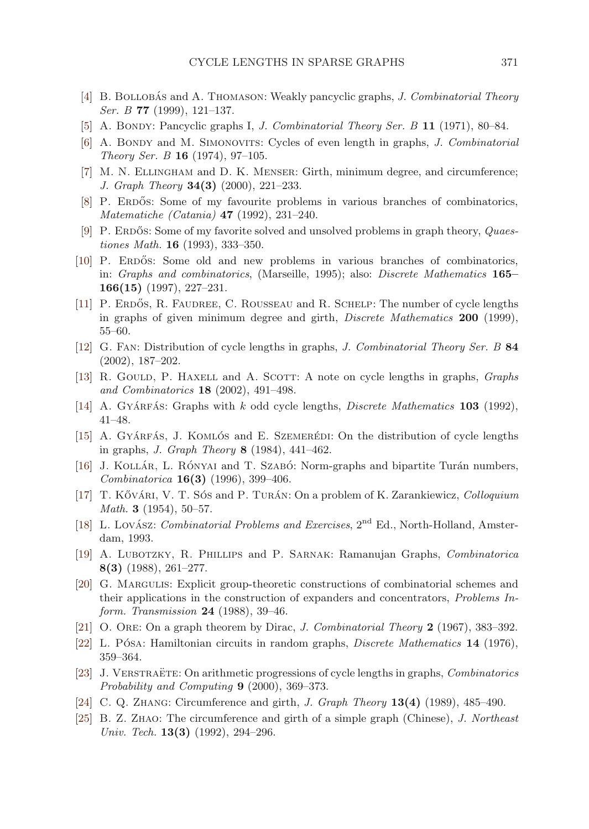- <span id="page-14-0"></span>[4] B. BOLLOBAS and A. THOMASON: Weakly pancyclic graphs, J. Combinatorial Theory Ser. B **77** (1999), 121–137.
- [5] A. Bondy: Pancyclic graphs I, *J. Combinatorial Theory Ser. B* **11** (1971), 80–84.
- [6] A. BONDY and M. SIMONOVITS: Cycles of even length in graphs, J. Combinatorial Theory Ser. B **16** (1974), 97–105.
- [7] M. N. Ellingham and D. K. Menser: Girth, minimum degree, and circumference; J. Graph Theory **34(3)** (2000), 221–233.
- [8] P. ERDŐS: Some of my favourite problems in various branches of combinatorics, Matematiche (Catania) **47** (1992), 231–240.
- [9] P. ERDOS: Some of my favorite solved and unsolved problems in graph theory,  $Quaes$ tiones Math. **16** (1993), 333–350.
- [10] P. ERDOS: Some old and new problems in various branches of combinatorics, in: Graphs and combinatorics, (Marseille, 1995); also: Discrete Mathematics **165– 166(15)** (1997), 227–231.
- [11] P. ERDŐS, R. FAUDREE, C. ROUSSEAU and R. SCHELP: The number of cycle lengths in graphs of given minimum degree and girth, Discrete Mathematics **200** (1999), 55–60.
- [12] G. Fan: Distribution of cycle lengths in graphs, J. Combinatorial Theory Ser. B **84** (2002), 187–202.
- [13] R. GOULD, P. HAXELL and A. SCOTT: A note on cycle lengths in graphs, *Graphs* and Combinatorics **18** (2002), 491–498.
- [14] A. Gyá $R$ Fás: Graphs with k odd cycle lengths, *Discrete Mathematics* **103** (1992), 41–48.
- [15] A. GYÁRFÁS, J. KOMLÓS and E. SZEMERÉDI: On the distribution of cycle lengths in graphs, J. Graph Theory **8** (1984), 441–462.
- [16] J. KOLLÁR, L. RÓNYAI and T. SZABÓ: Norm-graphs and bipartite Turán numbers, Combinatorica **16(3)** (1996), 399–406.
- [17] T. KővÁRI, V. T. Sós and P. TURÁN: On a problem of K. Zarankiewicz, Colloquium Math. **3** (1954), 50–57.
- [18] L. Lovász: *Combinatorial Problems and Exercises*, 2<sup>nd</sup> Ed., North-Holland, Amsterdam, 1993.
- [19] A. Lubotzky, R. Phillips and P. Sarnak: Ramanujan Graphs, Combinatorica **8(3)** (1988), 261–277.
- [20] G. Margulis: Explicit group-theoretic constructions of combinatorial schemes and their applications in the construction of expanders and concentrators, Problems Inform. Transmission **24** (1988), 39–46.
- [21] O. Ore: On a graph theorem by Dirac, J. Combinatorial Theory **2** (1967), 383–392.
- [22] L. Pósa: Hamiltonian circuits in random graphs, *Discrete Mathematics* 14 (1976), 359–364.
- [23] J. VERSTRAËTE: On arithmetic progressions of cycle lengths in graphs, *Combinatorics* Probability and Computing **9** (2000), 369–373.
- [24] C. Q. Zhang: Circumference and girth, J. Graph Theory **13(4)** (1989), 485–490.
- [25] B. Z. Zhao: The circumference and girth of a simple graph (Chinese), J. Northeast Univ. Tech. **13(3)** (1992), 294–296.